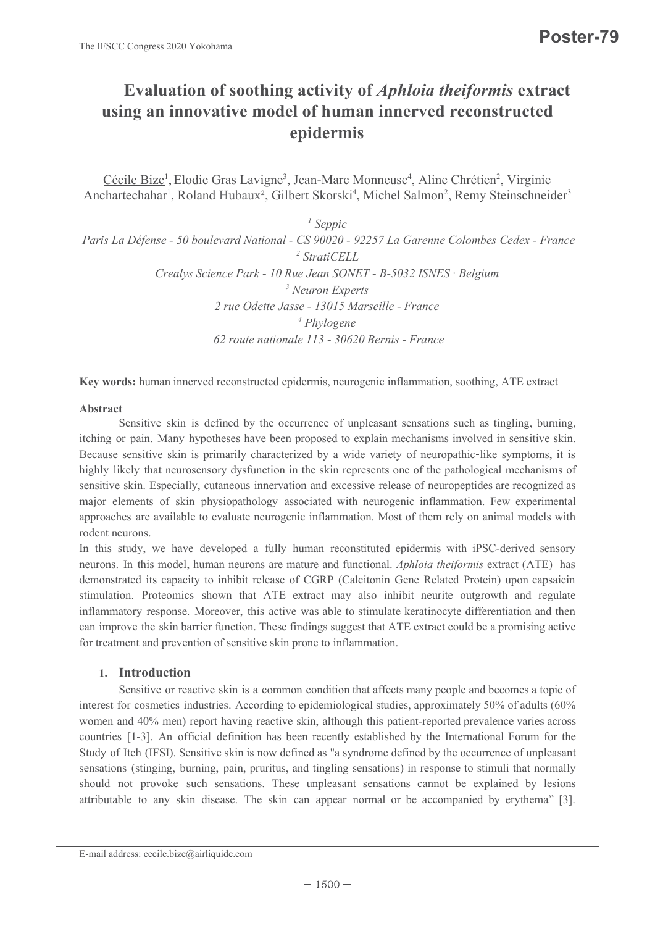# Evaluation of soothing activity of Aphloia theiformis extract using an innovative model of human innerved reconstructed epidermis

Cécile Bize<sup>1</sup>, Elodie Gras Lavigne<sup>3</sup>, Jean-Marc Monneuse<sup>4</sup>, Aline Chrétien<sup>2</sup>, Virginie Anchartechahar<sup>1</sup>, Roland Hubaux<sup>2</sup>, Gilbert Skorski<sup>4</sup>, Michel Salmon<sup>2</sup>, Remy Steinschneider<sup>3</sup>

 $\frac{1}{2}$  Seppic Paris La Défense - 50 boulevard National - CS 90020 - 92257 La Garenne Colombes Cedex - France <sup>2</sup> StratiCELL Crealys Science Park - 10 Rue Jean SONET - B-5032 ISNES · Belgium <sup>3</sup> Neuron Experts 2 rue Odette Jasse - 13015 Marseille - France 4 Phylogene 62 route nationale 113 - 30620 Bernis - France Cécile Bize<sup>1</sup>, Elodie Gras Lavigne<sup>3</sup>, Jean-Marc Monneuse<sup>4</sup>, Aline Chrétien<sup>2</sup>, Virginie<br>
Anchartcchahar<sup>1</sup>, Roland Hubaux<sup>2</sup>, Gilbert Skorski<sup>4</sup>, Michel Salmon<sup>2</sup>, Remy Steinschneider<sup>3</sup><br>
Paris I.a Défense - 50 bouleva Anchartechahar<sup>i</sup>, Roland Hubaux<sup>2</sup>, Gilbert Skorski<sup>1</sup>, Michel Salmon<sup>2</sup>, Remy Steinselneider<sup>1</sup><br> *Seppic*<br> *Carts La Défense - 50 boulevard National - CS 90020- 92257 La Gareme Colombes Cedex - France<br>
<i>Creaby Science P* 

Key words: human innerved reconstructed epidermis, neurogenic inflammation, soothing, ATE extract

#### Abstract

Creadys Science Park - 10 Rue Jeam SONET - B-5032 ISNES · Belgium<br>
2 rue Odette Jasse - 13015 Marseille - France<br>
<sup>4</sup> Phylogene<br>
62 route nationale 113 - 30620 Rernis - France<br> **Key words:** human innerved reconstructed ep 2 rue Odette Jasse - 13015 Marseille - France<br>
"Phylogene<br>
62 route nationale 113 - 30620 Bernis - France<br>
62 route nationale 113 - 30620 Bernis - France<br>
Serverst:<br>
Serverst: human innerved reconstructed epidermis, neuro

#### 1. Introduction

Abstract Sensitive skin is defined by the uccurrence of unpleasant sensuitions such as tingling, burning,<br>Technical or pain. Many hypotheses have been proposed to explain mechanism involved in sensitive skin.<br>Hecause sens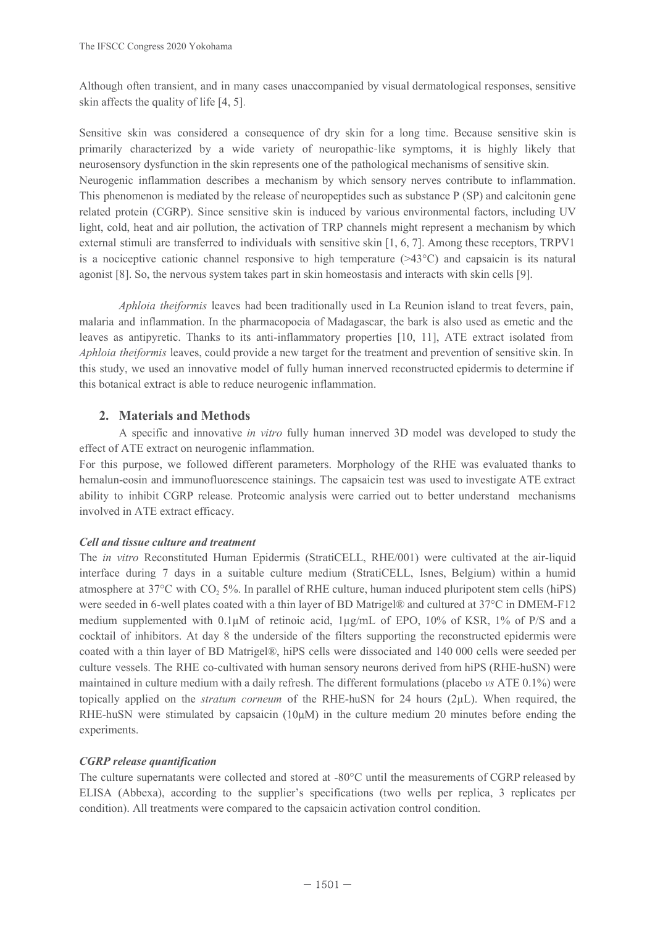The IFSCC Congress 2020 Yokohama<br>Although often transient, and in many cases unaccompanied by visual dermatological responses, sensitive<br>skin affects the quality of life [4, 5].<br>Densitive skin was considered a consequence neurosensory dysfunction in the skin represents one of the pathological mechanisms of sensitive skin. The IFSCC Congress 2020 Yokohama<br>
Although often transient, and in many cases unaccompanied by visual dermatological responses, sensitive<br>
skin affects the quality of life [4, 5].<br>
Sensitive skin was considered a conseque The IFSCC Congress 2020 Yokohama<br>
Although often transient, and in many cases unaccompanied by visual dermatological responses, sensitive<br>
Skin alfects the quality of Hie [4, 5].<br>
Scruitty skin accossioned a consequence o sitive skin was considered a consequence of dry skin for a long time. Becausing characterized by a wide variety of neuropablic-like symptoms, it is so cosensory dysfunction in the skin represents one of the pathological m c entracterized by a wine variety of neurogathic-like symptoms, it is many likely that<br>shory dysfunction in the skin represents one of the pathological mechanisms of sensitive skin.<br>nic inflammation describes a mechanism Numergation infinimation describes a mechanism by which sursay nerver so contribute to inlinearation.<br>This phenomenon is mediated by the release of neuropepticles such as substance  $P(SP)$  and calcitionin gene<br>related prot

agonst [8]. So, the nervous system takes part in skin homeostasis and interacts with skin cells [9].<br> *Aphloia theformis* leaves had been traditionally used in La Reunion island to treat fevers, pain,<br>
malaria and inflamma

effect of ATE extract on neurogenic inflammation.

#### Cell and tissue culture and treatment

*Aphlota thetformis* leaves had been traditionally used in La Reunion island to treat fevers, pain,<br>headsex sa antipyreic. Thenks to its anti-inflamentary properties [10, 11], ATE: extrat isolated from<br>*Aphlota thetjormis* malar and milammaton. In the pharmacoptean of Malagascar, the basis used as emelocated for<br>heaves as antifyretic. Thanks to its anti-inflammatory properties [10, 11], ATE extract isolated from<br>these ass antifyretic. Thanks 2. **Anterials and Methods**<br>A specific and innovative *in vitro* fully human innerved 3D model was developed to study the<br>effect of ATE extract on neurogenic inflammation.<br>For this purpose, we followed different parameters A specific and imnovative *in virto* fully human imnerved 3D model was developed to study the<br>effect of ATF extract on neurogenic inflammation.<br>For this purpose, we followed different parameters. Morphology of the RHE was experiments. ability to inhibit CGRP release. Proteomic analysis were carried out to better understand mechanisms<br>involved in ATI: extract efficacy.<br>The *in with* CGRP release calible and *the methane secularity* and  $\pi$  is a suitable

## CGRP release quantification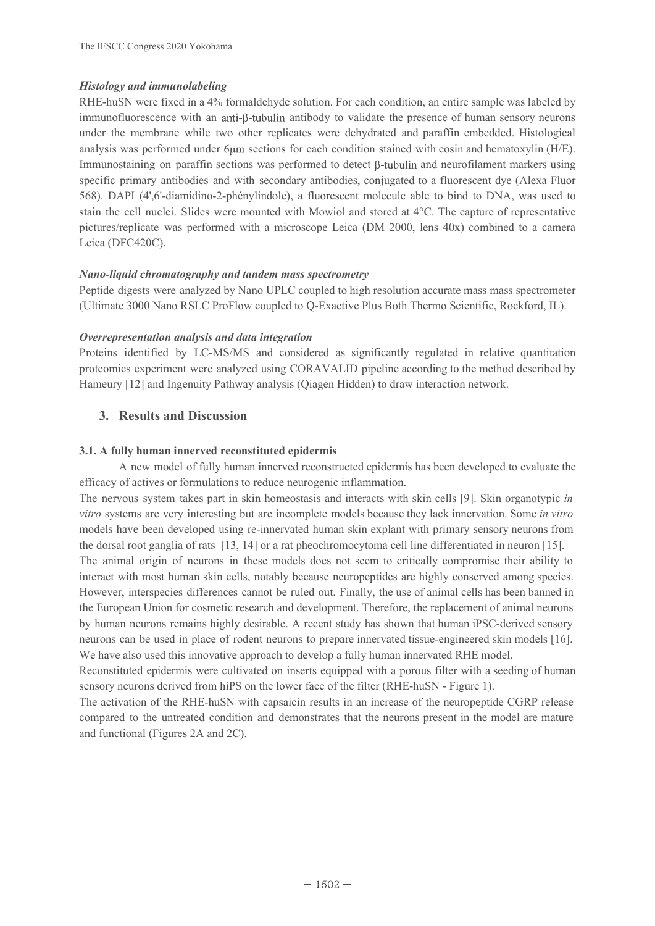### Histology and immunolabeling

**Histology and immunolabeling**<br>RHE-huSN were fixed in a 4% formaldehyde solution. For each condition, an entire sample was labeled by<br>immunofluorescence with an anti-β-tubulin antibody to validate the presence of human se The IFSCC Congress 2020 Yokohama<br> **Histology and immunolabeling**<br>
RHE-huSN were fixed in a 4% formaldehyde solution. For each condition, an entire sample was labeled by<br>
immunofluorescence with an anti-β-tubulin antibody t The IFSCC Congress 2020 Yokohama<br> **Histology and immunolabeling**<br>
RHE-huSN were fixed in a 4% formaldehyde solution. For each condition, an entire sample was labeled by<br>
immunoflucrescene with an anti-p-tubulin antibody t The IFSCC Congress 2020 Yokohama<br> *Histology and immunolabeling*<br> *HBE-huSN* were fixed in a <sup>49</sup>% formaldehyde solution. For each condition, an entire sample was labeled by<br>
immunofluorescence with an anti-β-tubulin anti The IFSCC Congress 2020 Yokohama<br> *Histology and immunolabeling*<br>
RIIL:-huSN were fixed in a <sup>49</sup>% formaldehyde solution. For each condition, an entire sample was labeled by<br>
immunofluorescence with an anti-β-tubulin antib **Histology and immunolabeling**<br>
HIST-huSN were fixed in a 4% formaldehyde solution. For each condition, an entire sample was labeled by<br>
immunolloursecence with an anti- $\phi$ -hubulin antibody to validate the presence of hu is the membrane while two other replicates were dehydrated and paraftin em<br>
sysis was performed under 6µm sections for each condition stained with eosin am<br>
unnostaining on paraffin sections was performed to detect  $\beta$ -tu speak to many amtoologies and with secondary amtoological or a not<br>essent per constructed and the cell multipline-2-phenylindole), a fluorescent molecule able to bind to DNA, was used to<br>stain the cell muele i Slides were

#### Nano-liquid chromatography and tandem mass spectrometry

#### Overrepresentation analysis and data integration

#### 3.1. A fully human innerved reconstituted epidermis

Station the certificate was performed with vintowith and solved at  $\bullet$ . The capture of personalized is a cells (DFC420C).<br> **Nano-liquid chromatography and tandem mass spectrometry**<br>
Peptide digests were analyzed by Nano U pluturesveptives are vitro systems are vitro systems and the system of the system of the system of the system of the system of the system of the system of the system of the system of the system of the system of the system Nano-liquid chromatography and tandem mass spectrometry<br>Peptid digests were analyzed by Nano UPLC coupled to high resolution accurate mass mass spectrometer<br>CUltimate 3000 Nano RSLC ProFlow coupled to Q-Exactive Plus Both Warrelian communipy that the mean mass spectral<br>reputal engines are compared by Nano UPLC coupled to high resolution accurate mass mass spectrometer<br>(Ultimate 3000 Nano RSLC ProFiow coupled to Q-Exactive Plus Both Thermo Frametory [12] and migntumy Patrway anaysis (Qaiget Fridder) to thaw interaction network.<br>
3.1. A fully human innerved reconstituted epidermis<br>
A new model of fully human innerved reconstructed epidermis<br>
fflue of fully h 3.1. A fully human innerved reconstituted epidermis<br>3.1. A fully human innerved crossituated epidermis has been developed to evaluate the<br>fiffice of new model of fully human imterved reconstructed epidermis has been devel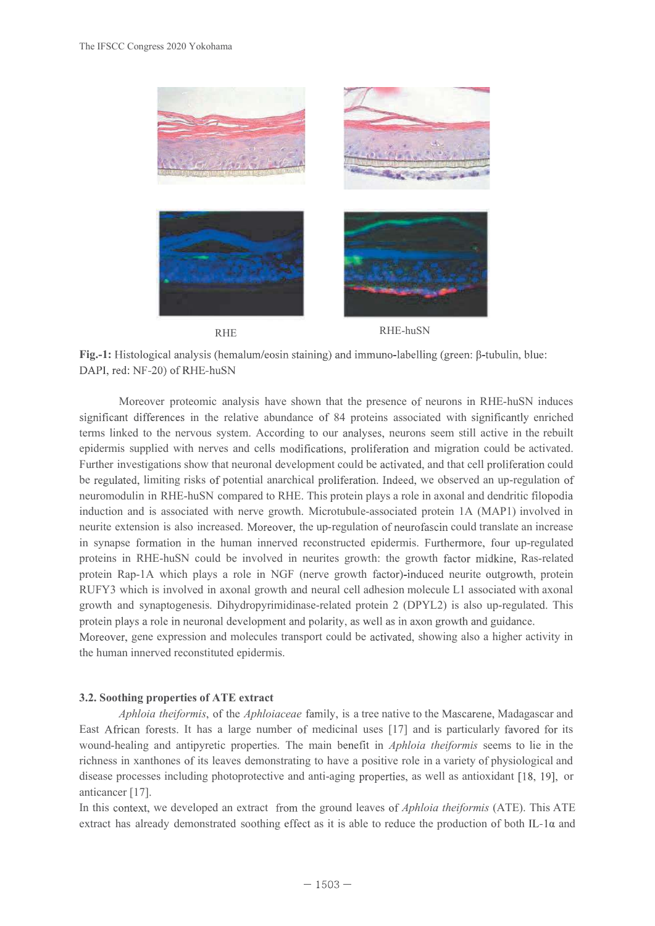

Fig.-1: Histological analysis (hemalum/eosin staining) and immuno-labelling (green:  $\beta$ -tubulin, blue:

Fig.-1: Histological analysis (hemalum/eosin staining) and immuno-labelling (green: B-tubulin, blue:<br>DAPI, red: NF-20) of RHE-huSN<br>Moreover proteomic analysis have shown that the presence of neurons in RHF-huSN induces<br>sig **Fig.-1:** Histological analysis (hemalum/eosin staining) and immuno-labelling (green: β-tubulin, blue:<br>DAPI, red: NF-20) of RHE-huSN<br>Moreover proteomic analysis have shown that the presence of neurons in RHE-huSN induces<br>S **Fig.-1:** Histological analysis (hemalum/eesin staining) and immun-labelling (green:  $\beta$ -tubulin, blue:<br>DAPI, red: NF-20) of RHE-huSN<br>Moreover proteomic analysis (hemalum/eesin staining) and immun-labelling (green:  $\beta$ -t **Example 12**<br> **Example 12**<br> **Example 12**<br> **Example 12**<br> **Example 12**<br> **Example 12**<br> **Example 12**<br> **Example 12**<br> **Example 12**<br> **Example 12**<br> **Example 12**<br> **Example 12**<br> **Example 12**<br> **Example 12**<br> **Example 12**<br> **Example 12 Fig.-1:** Histological analysis (hemalum/eosin staining) and immuno-labelling (green: β-tubulin, blue: DAPI, red: NF-20) of RHE-huSN<br>Moreover proteomic analysis have shown that the presence of neurons in RHE-huSN induces<br>s **Fig.-1:** Histological analysis (hemalum/eosin staining) and immuno-labelling (green: β-tubulin, blue:<br>DAPI, red: NF-20) of RHE-huSN<br>Moreover proteomic analysis have shown that the presence of neurons in RHE-huSN induces<br> RUF-1: Histological analysis (hemalum/eosin staining) and immuno-labelling (green:  $\beta$ -tubulin, blue:<br>
DAPI, red: NF-20) of RHE-huSN<br>
Mercover protecmic analysis have shown that the presence of neurons in RHE-huSN induces stological analysis (hemalum/cosin staining) and immuno-labelling (green: β-tubulin, blue:<br>
:NF-20) of RHE-huSN<br>
interesse in the relative abundance of 84 proteins associated with significantly enriched<br>
differences in the sked to the nervous system. According to our analyses, neurons seem still active in the rebuilt<br>is supplied with nerves and cells modifications, proliferation and migration could be activated,<br>investigations show that neu epidermis supplied with nerves and cells modifications, proliferation and migration could be activated.<br>Further investigations show that neuronal development could be activated, and that cell proliferation could<br>be negulat Further investigations show that neuronal development could be activated, and that cell proliferation could<br>be regulated. Imiting risks of potential anarchical proliferation. Indeed, we observed an up-regulation of<br>neuromo be regulated, limiting risks of potential anarchical proliteration. Indeed, we observed an up-regulation of<br>neurromodulin in RHF-huSN compared to RHF. This protein plays a role in axonal and dendritic filopodia<br>induction a neuromodulin in RHE-huSN compared to RHE. This protein plays a role in axonal and dendritic filopodia<br>induction and is associated with never growth. Microtubule-associated protein 1-a (MAPI) involved in<br>meurie extension is metric extension is also increased. Moreover, the up-regulation of neurrisacion columbication could translate an increase<br>proteins in RHF-huSN could be involved in neurrise growth; the growth factor midsine, Ras-related<br>pr

the human innerved reconstituted epidermis.

#### 3.2. Soothing properties of ATE extract

anticancer [17].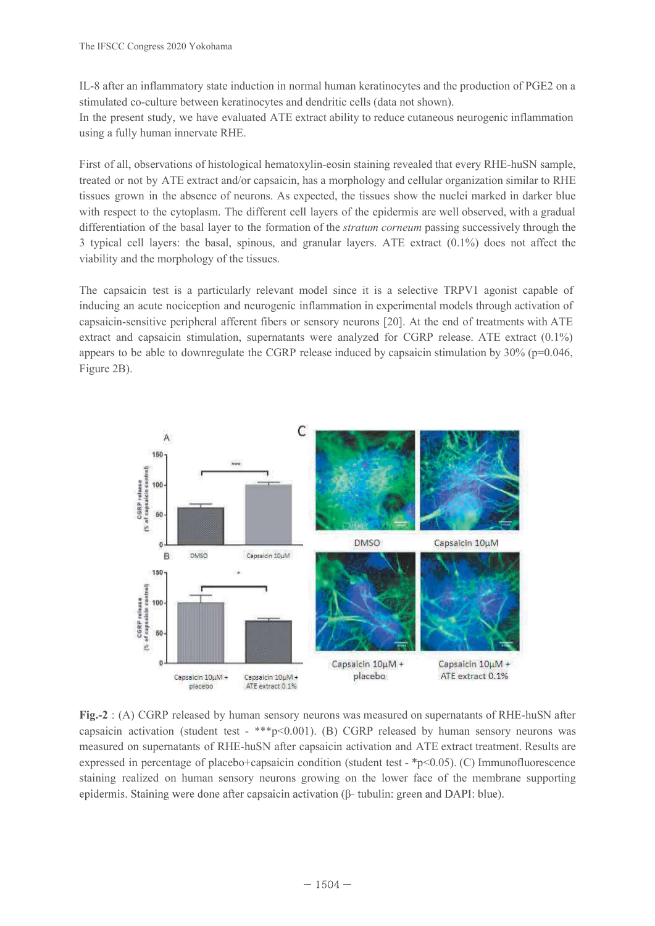IL-8 after an inflammatory state induction in normal human keratinocytes and the production of PGE2 on a stimulated co-culture between keratinocytes and dendritic cells (data not shown).<br>In the present study, we have evalu The IFSCC Congress 2020 Yokohama<br>IL-8 after an inflammatory state induction in normal human keratinocytes and the production of PGE2 on a<br>stimulated co-culture between keratinocytes and dendritic cells (data not shown).<br>In

The IFSCC Congress 2020 Yokohama<br>II.-8 after an inflammatory state induction in normal human keratinocytes and the production of PGE2 on a<br>stimulated co-culture between keratinocytes and dendritic cells (data not shown).<br>I The IFSCC Congress 2020 Yokohama<br>
IL-8 after an inflammatory state induction in normal human keratinocytes and the production of PGE2 on a<br>
stimulated co-culture between keratinocytes and dendritic cells (data not shown).<br> The IFSCC Congress 2020 Yokohama<br>
II.-S after an inflammatory state induction in normal human keratinocytes and the production of PGF2 on a<br>
sismulated co-culture between keratinocytes and dendritic cells (data not shown)

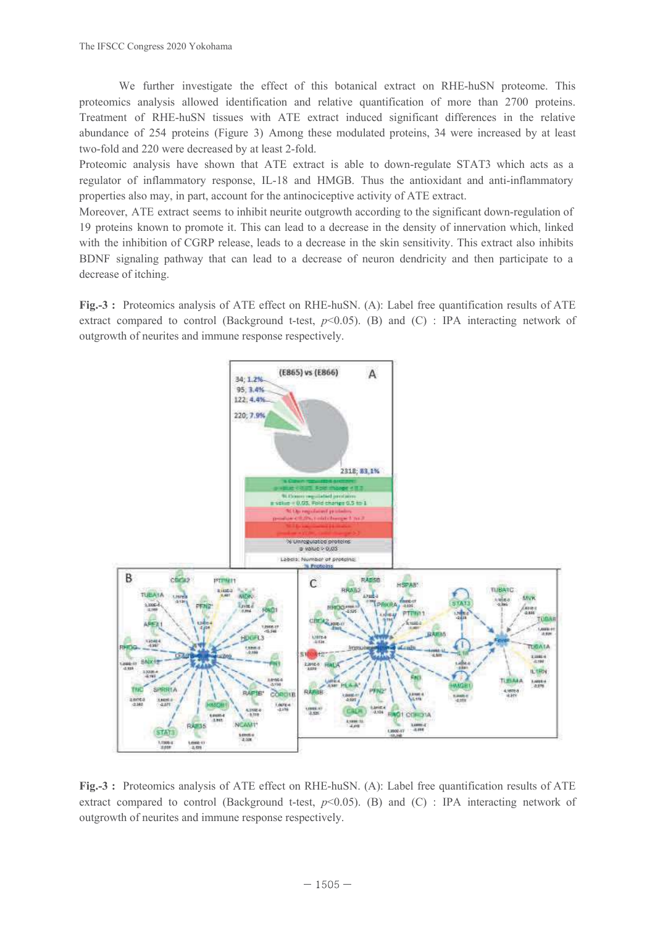The IFSCC Congress 2020 Yokohama<br>We further investigate the effect of this botanical extract on RHE-huSN proteome. This<br>proteomics analysis allowed identification and relative quantification of more than 2700 proteins.<br>Tre The IFSCC Congress 2020 Yokohama<br>We further investigate the effect of this botanical extract on RHE-huSN proteome. This<br>proteomics analysis allowed identification and relative quantification of more than 2700 proteins.<br>Tre The IFSCC Congress 2020 Yokohama<br>We further investigate the effect of this botanical extract on RHE-huSN proteome. This<br>proteomics analysis allowed identification and relative quantification of more than 2700 proteins.<br>Tr The IFSCC Congress 2020 Yokohana<br>
We further investigate the effect of this botanical extract on RHE-huSN proteome. This<br>
proteomics analysis allowed identification and relative induced significant differences in the rela The IFSCC Congress 2020 Yokohama<br>
We further investigate the effect of this botanical extract on RHE-huSN proteome. This<br>
proteomics analysis allowed identification and relative quantification of more than 2700 proteins.<br>

outgrowth of neurites and immune response respectively.



outgrowth of neurites and immune response respectively.